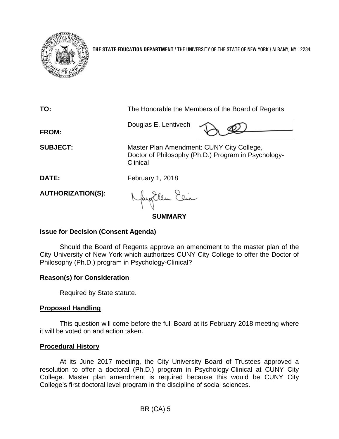

**THE STATE EDUCATION DEPARTMENT** / THE UNIVERSITY OF THE STATE OF NEW YORK / ALBANY, NY 12234

| TO:                      | The Honorable the Members of the Board of Regents                                                            |
|--------------------------|--------------------------------------------------------------------------------------------------------------|
| FROM:                    | Douglas E. Lentivech                                                                                         |
| <b>SUBJECT:</b>          | Master Plan Amendment: CUNY City College,<br>Doctor of Philosophy (Ph.D.) Program in Psychology-<br>Clinical |
| <b>DATE:</b>             | February 1, 2018                                                                                             |
| <b>AUTHORIZATION(S):</b> | Nagollem Elia                                                                                                |
| SUMMARY                  |                                                                                                              |

## **Issue for Decision (Consent Agenda)**

Should the Board of Regents approve an amendment to the master plan of the City University of New York which authorizes CUNY City College to offer the Doctor of Philosophy (Ph.D.) program in Psychology-Clinical?

## **Reason(s) for Consideration**

Required by State statute.

# **Proposed Handling**

This question will come before the full Board at its February 2018 meeting where it will be voted on and action taken.

## **Procedural History**

At its June 2017 meeting, the City University Board of Trustees approved a resolution to offer a doctoral (Ph.D.) program in Psychology-Clinical at CUNY City College. Master plan amendment is required because this would be CUNY City College's first doctoral level program in the discipline of social sciences.